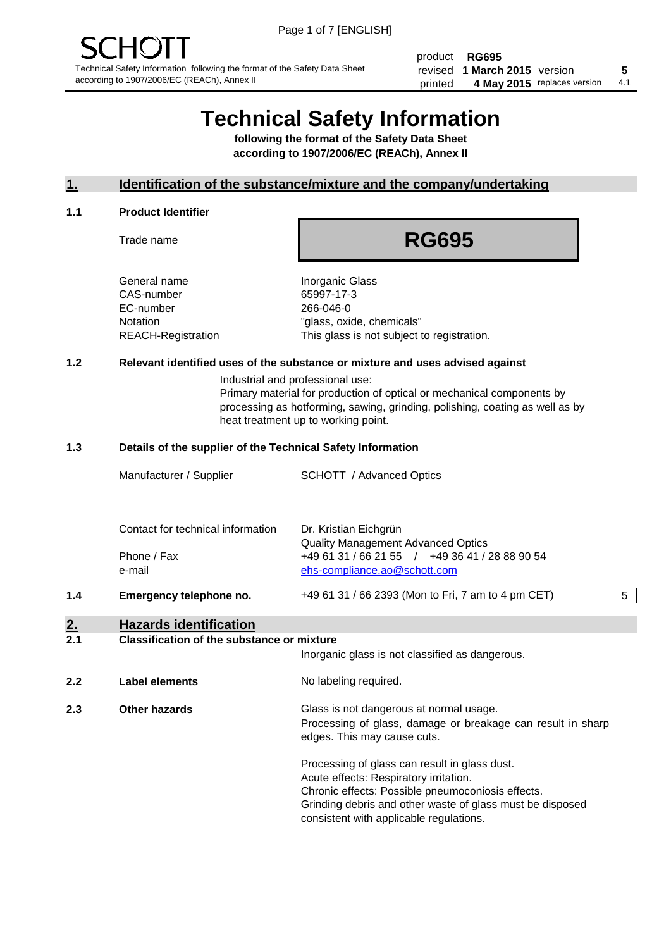product **RG695** revised **5 1 March 2015** version printed 4 May 2015 replaces version 4.1

# **Technical Safety Information**

**following the format of the Safety Data Sheet according to 1907/2006/EC (REACh), Annex II**

#### **1. Identification of the substance/mixture and the company/undertaking**

#### **1.1 Product Identifier**

Trade name

## **RG695**

General name **Inorganic Glass** CAS-number 65997-17-3 EC-number 266-046-0

Notation "glass, oxide, chemicals" REACH-Registration This glass is not subject to registration.

#### **1.2 Relevant identified uses of the substance or mixture and uses advised against**

Industrial and professional use: Primary material for production of optical or mechanical components by processing as hotforming, sawing, grinding, polishing, coating as well as by heat treatment up to working point.

#### **1.3 Details of the supplier of the Technical Safety Information**

|     | Manufacturer / Supplier           | <b>SCHOTT</b> / Advanced Optics                                                |   |
|-----|-----------------------------------|--------------------------------------------------------------------------------|---|
|     | Contact for technical information | Dr. Kristian Eichgrün<br><b>Quality Management Advanced Optics</b>             |   |
|     | Phone / Fax<br>e-mail             | +49 61 31 / 66 21 55 / +49 36 41 / 28 88 90 54<br>ehs-compliance.ao@schott.com |   |
| 1.4 | Emergency telephone no.           | +49 61 31 / 66 2393 (Mon to Fri, 7 am to 4 pm CET)                             | 5 |

### **2. Hazards identification**

#### **2.1 Classification of the substance or mixture**

|     |                      | Inorganic glass is not classified as dangerous.                                                                                                                                                                                                      |
|-----|----------------------|------------------------------------------------------------------------------------------------------------------------------------------------------------------------------------------------------------------------------------------------------|
| 2.2 | Label elements       | No labeling required.                                                                                                                                                                                                                                |
| 2.3 | <b>Other hazards</b> | Glass is not dangerous at normal usage.<br>Processing of glass, damage or breakage can result in sharp<br>edges. This may cause cuts.                                                                                                                |
|     |                      | Processing of glass can result in glass dust.<br>Acute effects: Respiratory irritation.<br>Chronic effects: Possible pneumoconiosis effects.<br>Grinding debris and other waste of glass must be disposed<br>consistent with applicable regulations. |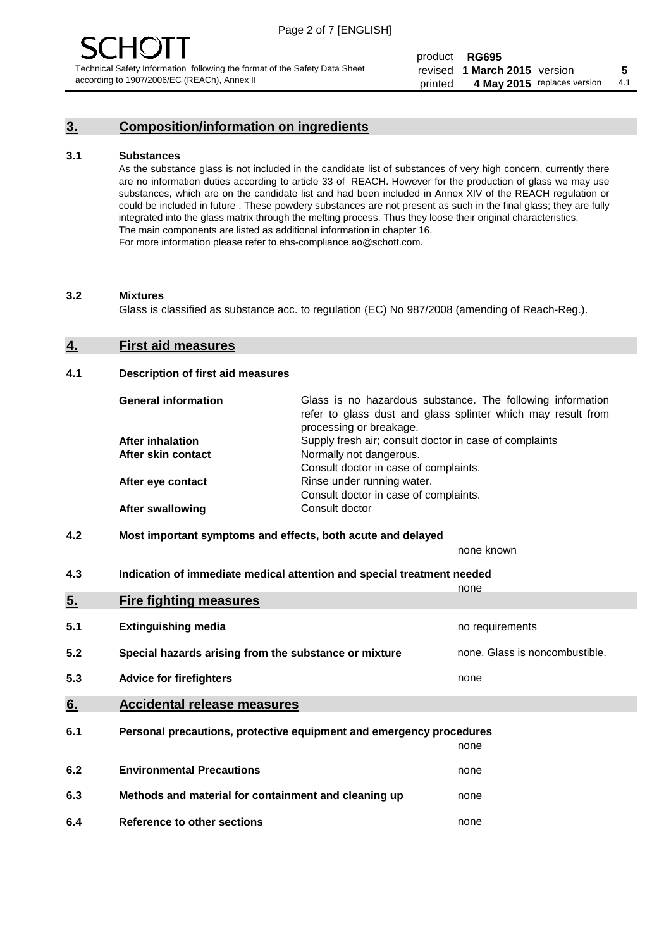### **3. Composition/information on ingredients**

#### **3.1 Substances**

As the substance glass is not included in the candidate list of substances of very high concern, currently there are no information duties according to article 33 of REACH. However for the production of glass we may use substances, which are on the candidate list and had been included in Annex XIV of the REACH regulation or could be included in future . These powdery substances are not present as such in the final glass; they are fully integrated into the glass matrix through the melting process. Thus they loose their original characteristics. The main components are listed as additional information in chapter 16. For more information please refer to ehs-compliance.ao@schott.com.

#### **3.2 Mixtures**

Glass is classified as substance acc. to regulation (EC) No 987/2008 (amending of Reach-Reg.).

#### **4. First aid measures**

#### **4.1 Description of first aid measures**

| <b>General information</b> | Glass is no hazardous substance. The following information<br>refer to glass dust and glass splinter which may result from<br>processing or breakage. |
|----------------------------|-------------------------------------------------------------------------------------------------------------------------------------------------------|
| <b>After inhalation</b>    | Supply fresh air; consult doctor in case of complaints                                                                                                |
| After skin contact         | Normally not dangerous.                                                                                                                               |
|                            | Consult doctor in case of complaints.                                                                                                                 |
| After eye contact          | Rinse under running water.                                                                                                                            |
|                            | Consult doctor in case of complaints.                                                                                                                 |
| <b>After swallowing</b>    | Consult doctor                                                                                                                                        |

#### **4.2 Most important symptoms and effects, both acute and delayed**

none known

**4.3 Indication of immediate medical attention and special treatment needed** 

|     |                                                                     | none                           |  |
|-----|---------------------------------------------------------------------|--------------------------------|--|
| 5.  | <b>Fire fighting measures</b>                                       |                                |  |
| 5.1 | <b>Extinguishing media</b>                                          | no requirements                |  |
| 5.2 | Special hazards arising from the substance or mixture               | none. Glass is noncombustible. |  |
| 5.3 | <b>Advice for firefighters</b>                                      | none                           |  |
| 6.  | <b>Accidental release measures</b>                                  |                                |  |
| 6.1 | Personal precautions, protective equipment and emergency procedures |                                |  |
|     |                                                                     | none                           |  |
| 6.2 | <b>Environmental Precautions</b>                                    | none                           |  |
| 6.3 | Methods and material for containment and cleaning up                | none                           |  |
| 6.4 | Reference to other sections                                         | none                           |  |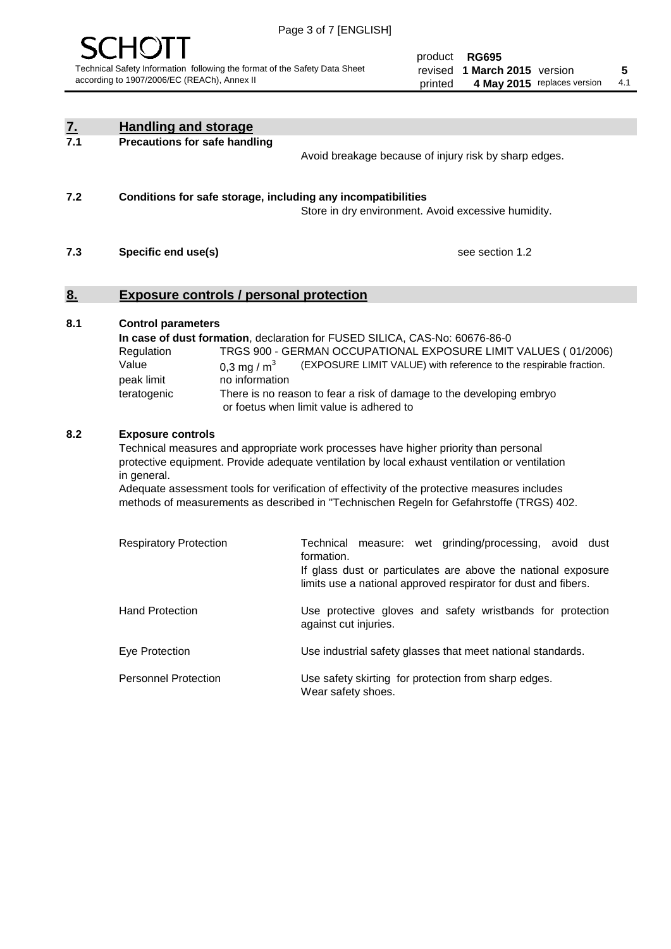

product **RG695** revised **5 1 March 2015** version printed 4 May 2015 replaces version 4.1

| $\underline{7}$ . | <b>Handling and storage</b>                                                                                      |                                                                                                                                                                                                                                                                                                                                                                                     |
|-------------------|------------------------------------------------------------------------------------------------------------------|-------------------------------------------------------------------------------------------------------------------------------------------------------------------------------------------------------------------------------------------------------------------------------------------------------------------------------------------------------------------------------------|
| 7.1               | <b>Precautions for safe handling</b>                                                                             | Avoid breakage because of injury risk by sharp edges.                                                                                                                                                                                                                                                                                                                               |
| 7.2               | Conditions for safe storage, including any incompatibilities                                                     | Store in dry environment. Avoid excessive humidity.                                                                                                                                                                                                                                                                                                                                 |
| 7.3               | Specific end use(s)                                                                                              | see section 1.2                                                                                                                                                                                                                                                                                                                                                                     |
| 8.                | <b>Exposure controls / personal protection</b>                                                                   |                                                                                                                                                                                                                                                                                                                                                                                     |
| 8.1               | <b>Control parameters</b><br>Regulation<br>Value<br>0,3 mg / $m3$<br>peak limit<br>no information<br>teratogenic | In case of dust formation, declaration for FUSED SILICA, CAS-No: 60676-86-0<br>TRGS 900 - GERMAN OCCUPATIONAL EXPOSURE LIMIT VALUES (01/2006)<br>(EXPOSURE LIMIT VALUE) with reference to the respirable fraction.<br>There is no reason to fear a risk of damage to the developing embryo<br>or foetus when limit value is adhered to                                              |
| 8.2               | <b>Exposure controls</b><br>in general.                                                                          | Technical measures and appropriate work processes have higher priority than personal<br>protective equipment. Provide adequate ventilation by local exhaust ventilation or ventilation<br>Adequate assessment tools for verification of effectivity of the protective measures includes<br>methods of measurements as described in "Technischen Regeln for Gefahrstoffe (TRGS) 402. |
|                   | <b>Respiratory Protection</b>                                                                                    | Technical measure: wet grinding/processing, avoid dust<br>formation.<br>If glass dust or particulates are above the national exposure<br>limits use a national approved respirator for dust and fibers.                                                                                                                                                                             |
|                   | <b>Hand Protection</b>                                                                                           | Use protective gloves and safety wristbands for protection<br>against cut injuries.                                                                                                                                                                                                                                                                                                 |
|                   | Eye Protection                                                                                                   | Use industrial safety glasses that meet national standards.                                                                                                                                                                                                                                                                                                                         |
|                   | <b>Personnel Protection</b>                                                                                      | Use safety skirting for protection from sharp edges.<br>Wear safety shoes.                                                                                                                                                                                                                                                                                                          |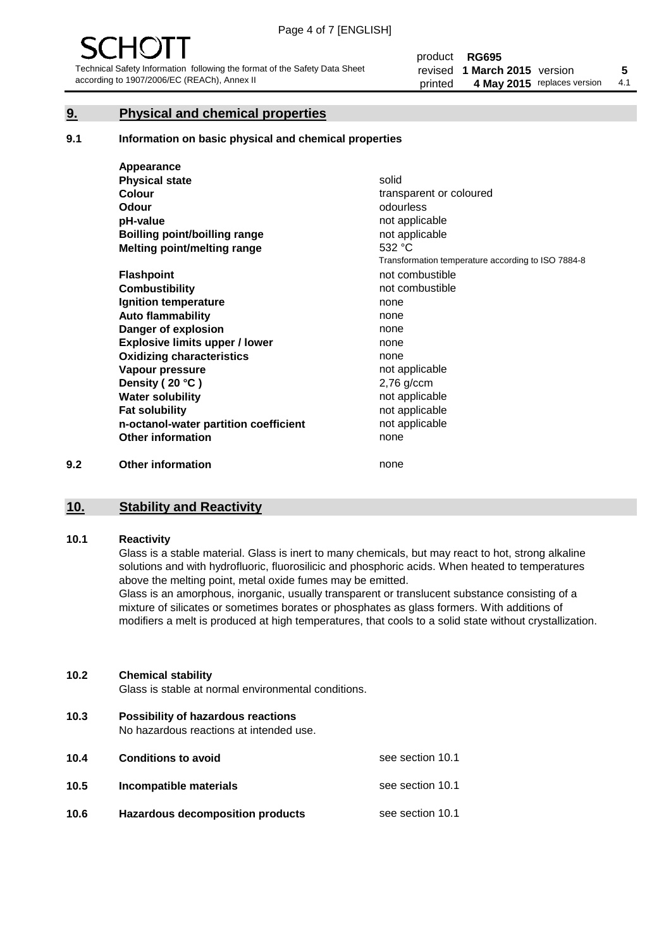#### **9. Physical and chemical properties**

#### **9.1 Information on basic physical and chemical properties**

|     | Appearance                            |                                                    |
|-----|---------------------------------------|----------------------------------------------------|
|     | <b>Physical state</b>                 | solid                                              |
|     | <b>Colour</b>                         | transparent or coloured                            |
|     | <b>Odour</b>                          | odourless                                          |
|     | pH-value                              | not applicable                                     |
|     | <b>Boilling point/boilling range</b>  | not applicable                                     |
|     | Melting point/melting range           | 532 °C                                             |
|     |                                       | Transformation temperature according to ISO 7884-8 |
|     | <b>Flashpoint</b>                     | not combustible                                    |
|     | <b>Combustibility</b>                 | not combustible                                    |
|     | Ignition temperature                  | none                                               |
|     | <b>Auto flammability</b>              | none                                               |
|     | Danger of explosion                   | none                                               |
|     | <b>Explosive limits upper / lower</b> | none                                               |
|     | <b>Oxidizing characteristics</b>      | none                                               |
|     | Vapour pressure                       | not applicable                                     |
|     | Density (20 °C)                       | $2,76$ g/ccm                                       |
|     | <b>Water solubility</b>               | not applicable                                     |
|     | <b>Fat solubility</b>                 | not applicable                                     |
|     | n-octanol-water partition coefficient | not applicable                                     |
|     | <b>Other information</b>              | none                                               |
| 9.2 | <b>Other information</b>              | none                                               |

#### **10. Stability and Reactivity**

#### **10.1 Reactivity**

Glass is a stable material. Glass is inert to many chemicals, but may react to hot, strong alkaline solutions and with hydrofluoric, fluorosilicic and phosphoric acids. When heated to temperatures above the melting point, metal oxide fumes may be emitted.

Glass is an amorphous, inorganic, usually transparent or translucent substance consisting of a mixture of silicates or sometimes borates or phosphates as glass formers. With additions of modifiers a melt is produced at high temperatures, that cools to a solid state without crystallization.

#### **10.2 Chemical stability**

Glass is stable at normal environmental conditions.

**10.3 Possibility of hazardous reactions** 

No hazardous reactions at intended use.

| 10.4 | <b>Conditions to avoid</b>              | see section 10.1 |
|------|-----------------------------------------|------------------|
| 10.5 | Incompatible materials                  | see section 10.1 |
| 10.6 | <b>Hazardous decomposition products</b> | see section 10.1 |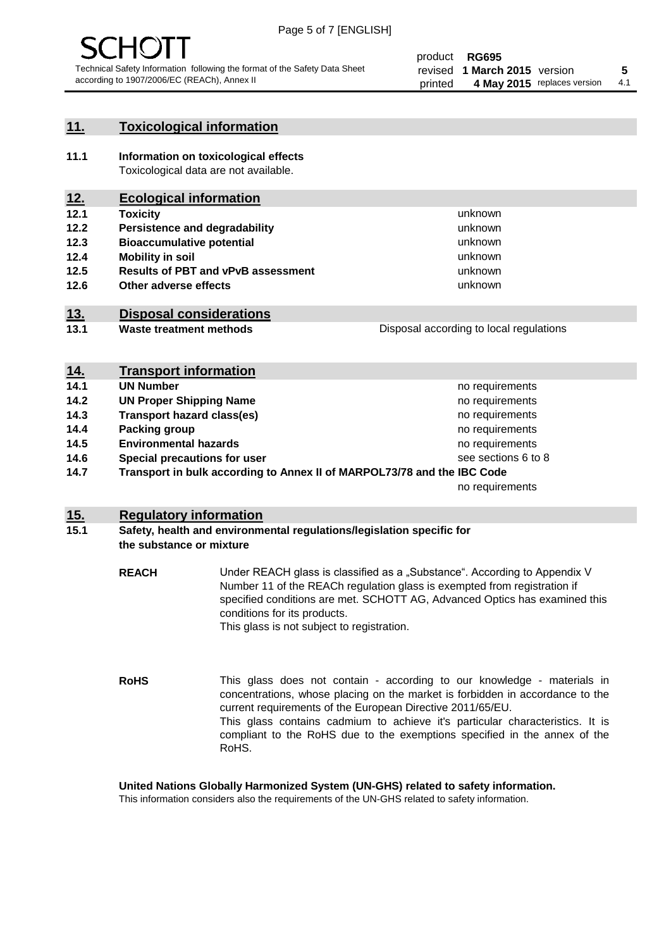

#### **11. Toxicological information**

**11.1 Information on toxicological effects** Toxicological data are not available.

#### **12. Ecological information**

- **12.1 Toxicity**
- **12.2 Persistence and degradability**
- **12.3 Bioaccumulative potential**
- **12.4 Mobility in soil**
- **12.5 Results of PBT and vPvB assessment**
- **12.6 Other adverse effects**

#### **13. Disposal considerations**

**13.1 Waste treatment methods**

| 14. | <b>Transport information</b> |  |  |
|-----|------------------------------|--|--|

- **14.1 <b>UN Number 14.1 UN** Number
- **14.2 CUN Proper Shipping Name no requirements no requirements 14.3 Transport hazard class(es) 14.3 no requirements 14.4 Packing group no requirements no requirements**
- 
- **14.5 Environmental hazards**
- **14.6 Special precautions for user**

**14.7 Transport in bulk according to Annex II of MARPOL73/78 and the IBC Code**

no requirements

no requirements see sections 6 to 8

unknown unknown unknown unknown

unknown unknown

Disposal according to local regulations

#### **15. Regulatory information**

#### **15.1 Safety, health and environmental regulations/legislation specific for the substance or mixture**

**REACH** Under REACH glass is classified as a "Substance". According to Appendix V Number 11 of the REACh regulation glass is exempted from registration if specified conditions are met. SCHOTT AG, Advanced Optics has examined this conditions for its products. This glass is not subject to registration.

**RoHS** This glass does not contain - according to our knowledge - materials in concentrations, whose placing on the market is forbidden in accordance to the current requirements of the European Directive 2011/65/EU. This glass contains cadmium to achieve it's particular characteristics. It is compliant to the RoHS due to the exemptions specified in the annex of the RoHS.

**United Nations Globally Harmonized System (UN-GHS) related to safety information.**

This information considers also the requirements of the UN-GHS related to safety information.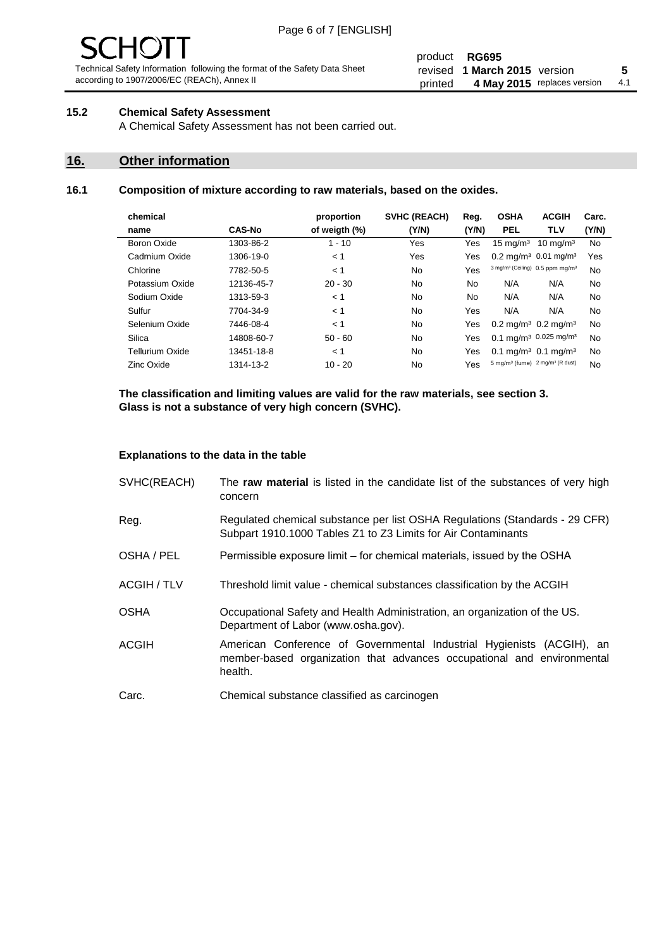# $\mathbf{H}$

Technical Safety Information following the format of the Safety Data Sheet according to 1907/2006/EC (REACh), Annex II

#### product **RG695** revised **5 1 March 2015** version printed 4 May 2015 replaces version 4.1

#### **15.2 Chemical Safety Assessment**

A Chemical Safety Assessment has not been carried out.

#### **16. Other information**

#### **16.1 Composition of mixture according to raw materials, based on the oxides.**

| chemical        |               | proportion    | <b>SVHC (REACH)</b> | Reg.  | <b>OSHA</b>                                             | <b>ACGIH</b>                                            | Carc. |
|-----------------|---------------|---------------|---------------------|-------|---------------------------------------------------------|---------------------------------------------------------|-------|
| name            | <b>CAS-No</b> | of weigth (%) | (Y/N)               | (Y/N) | <b>PEL</b>                                              | TLV                                                     | (Y/N) |
| Boron Oxide     | 1303-86-2     | $1 - 10$      | Yes                 | Yes   | $15 \text{ mg/m}^3$                                     | $10 \text{ ma/m}^3$                                     | No    |
| Cadmium Oxide   | 1306-19-0     | < 1           | Yes                 | Yes   |                                                         | $0.2 \text{ mg/m}^3$ 0.01 mg/m <sup>3</sup>             | Yes   |
| Chlorine        | 7782-50-5     | < 1           | No                  | Yes   |                                                         | 3 mg/m <sup>3</sup> (Ceiling) 0.5 ppm mg/m <sup>3</sup> | No    |
| Potassium Oxide | 12136-45-7    | $20 - 30$     | No                  | No    | N/A                                                     | N/A                                                     | No    |
| Sodium Oxide    | 1313-59-3     | < 1           | No                  | No    | N/A                                                     | N/A                                                     | No    |
| Sulfur          | 7704-34-9     | < 1           | No                  | Yes   | N/A                                                     | N/A                                                     | No    |
| Selenium Oxide  | 7446-08-4     | < 1           | No                  | Yes   | $0.2 \text{ mg/m}^3$ 0.2 mg/m <sup>3</sup>              |                                                         | No    |
| Silica          | 14808-60-7    | $50 - 60$     | No                  | Yes   |                                                         | $0.1 \text{ mg/m}^3$ 0.025 mg/m <sup>3</sup>            | No    |
| Tellurium Oxide | 13451-18-8    | < 1           | No                  | Yes   | $0.1 \text{ mg/m}^3$ 0.1 mg/m <sup>3</sup>              |                                                         | No    |
| Zinc Oxide      | 1314-13-2     | $10 - 20$     | No                  | Yes   | 5 mg/m <sup>3</sup> (fume) 2 mg/m <sup>3</sup> (R dust) |                                                         | No    |

**The classification and limiting values are valid for the raw materials, see section 3. Glass is not a substance of very high concern (SVHC).**

#### **Explanations to the data in the table**

| SVHC(REACH)        | The raw material is listed in the candidate list of the substances of very high<br>concern                                                                 |
|--------------------|------------------------------------------------------------------------------------------------------------------------------------------------------------|
| Reg.               | Regulated chemical substance per list OSHA Regulations (Standards - 29 CFR)<br>Subpart 1910.1000 Tables Z1 to Z3 Limits for Air Contaminants               |
| OSHA / PEL         | Permissible exposure limit – for chemical materials, issued by the OSHA                                                                                    |
| <b>ACGIH / TLV</b> | Threshold limit value - chemical substances classification by the ACGIH                                                                                    |
| <b>OSHA</b>        | Occupational Safety and Health Administration, an organization of the US.<br>Department of Labor (www.osha.gov).                                           |
| <b>ACGIH</b>       | American Conference of Governmental Industrial Hygienists (ACGIH), an<br>member-based organization that advances occupational and environmental<br>health. |
| Carc.              | Chemical substance classified as carcinogen                                                                                                                |